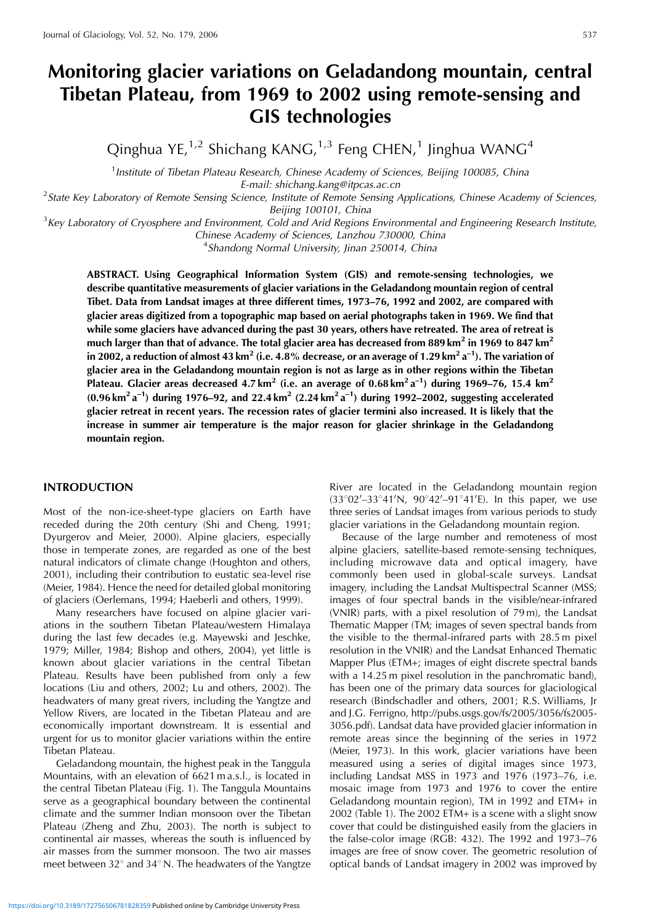# **Monitoring glacier variations on Geladandong mountain, central Tibetan Plateau, from 1969 to 2002 using remote-sensing and GIS technologies**

Qinghua YE, $1/2$  Shichang KANG, $1/3$  Feng CHEN, $1$  Jinghua WANG<sup>4</sup>

<sup>1</sup> Institute of Tibetan Plateau Research, Chinese Academy of Sciences, Beijing 100085, China

E-mail: shichang.kang@itpcas.ac.cn<br>State Key Laboratory of Remote Sensing Science, Institute of Remote Sensing Applications, Chinese Academy of Sciences, <sup>2</sup>

Beijing 100101, China<br>Key Laboratory of Cryosphere and Environment, Cold and Arid Regions Environmental and Engineering Research Institute,

Chinese Academy of Sciences, Lanzhou 730000, China <sup>4</sup>

<sup>4</sup>Shandong Normal University, Jinan 250014, China

**ABSTRACT. Using Geographical Information System (GIS) and remote-sensing technologies, we describe quantitative measurements of glacier variations in the Geladandong mountain region of central Tibet. Data from Landsat images at three different times, 1973–76, 1992 and 2002, are compared with glacier areas digitized from a topographic map based on aerial photographs taken in 1969. We find that while some glaciers have advanced during the past 30 years, others have retreated. The area of retreat is much larger than that of advance. The total glacier area has decreased from 889 km<sup>2</sup> in 1969 to 847 km<sup>2</sup> in 2002, a reduction of almost 43 km<sup>2</sup> (i.e. 4.8% decrease, or an average of 1.29 km<sup>2</sup> a–1). The variation of glacier area in the Geladandong mountain region is not as large as in other regions within the Tibetan Plateau. Glacier areas decreased 4.7 km<sup>2</sup> (i.e. an average of 0.68 km<sup>2</sup> a–1) during 1969–76, 15.4 km2 (0.96 km2 a–1) during 1976–92, and 22.4 km2 (2.24 km<sup>2</sup> a–1) during 1992–2002, suggesting accelerated glacier retreat in recent years. The recession rates of glacier termini also increased. It is likely that the increase in summer air temperature is the major reason for glacier shrinkage in the Geladandong mountain region.**

## **INTRODUCTION**

Most of the non-ice-sheet-type glaciers on Earth have receded during the 20th century (Shi and Cheng, 1991; Dyurgerov and Meier, 2000). Alpine glaciers, especially those in temperate zones, are regarded as one of the best natural indicators of climate change (Houghton and others, 2001), including their contribution to eustatic sea-level rise (Meier, 1984). Hence the need for detailed global monitoring of glaciers (Oerlemans, 1994; Haeberli and others, 1999).

Many researchers have focused on alpine glacier variations in the southern Tibetan Plateau/western Himalaya during the last few decades (e.g. Mayewski and Jeschke, 1979; Miller, 1984; Bishop and others, 2004), yet little is known about glacier variations in the central Tibetan Plateau. Results have been published from only a few locations (Liu and others, 2002; Lu and others, 2002). The headwaters of many great rivers, including the Yangtze and Yellow Rivers, are located in the Tibetan Plateau and are economically important downstream. It is essential and urgent for us to monitor glacier variations within the entire Tibetan Plateau.

Geladandong mountain, the highest peak in the Tanggula Mountains, with an elevation of 6621 m a.s.l., is located in the central Tibetan Plateau (Fig. 1). The Tanggula Mountains serve as a geographical boundary between the continental climate and the summer Indian monsoon over the Tibetan Plateau (Zheng and Zhu, 2003). The north is subject to continental air masses, whereas the south is influenced by air masses from the summer monsoon. The two air masses meet between  $32^{\circ}$  and  $34^{\circ}$  N. The headwaters of the Yangtze

River are located in the Geladandong mountain region (33°02′–33°41′N, 90°42′–91°41′E). In this paper, we use three series of Landsat images from various periods to study glacier variations in the Geladandong mountain region.

Because of the large number and remoteness of most alpine glaciers, satellite-based remote-sensing techniques, including microwave data and optical imagery, have commonly been used in global-scale surveys. Landsat imagery, including the Landsat Multispectral Scanner (MSS; images of four spectral bands in the visible/near-infrared (VNIR) parts, with a pixel resolution of 79 m), the Landsat Thematic Mapper (TM; images of seven spectral bands from the visible to the thermal-infrared parts with 28.5 m pixel resolution in the VNIR) and the Landsat Enhanced Thematic Mapper Plus (ETM+; images of eight discrete spectral bands with a 14.25 m pixel resolution in the panchromatic band), has been one of the primary data sources for glaciological research (Bindschadler and others, 2001; R.S. Williams, Jr and J.G. Ferrigno, http://pubs.usgs.gov/fs/2005/3056/fs2005- 3056.pdf). Landsat data have provided glacier information in remote areas since the beginning of the series in 1972 (Meier, 1973). In this work, glacier variations have been measured using a series of digital images since 1973, including Landsat MSS in 1973 and 1976 (1973–76, i.e. mosaic image from 1973 and 1976 to cover the entire Geladandong mountain region), TM in 1992 and ETM+ in 2002 (Table 1). The 2002 ETM+ is a scene with a slight snow cover that could be distinguished easily from the glaciers in the false-color image (RGB: 432). The 1992 and 1973–76 images are free of snow cover. The geometric resolution of optical bands of Landsat imagery in 2002 was improved by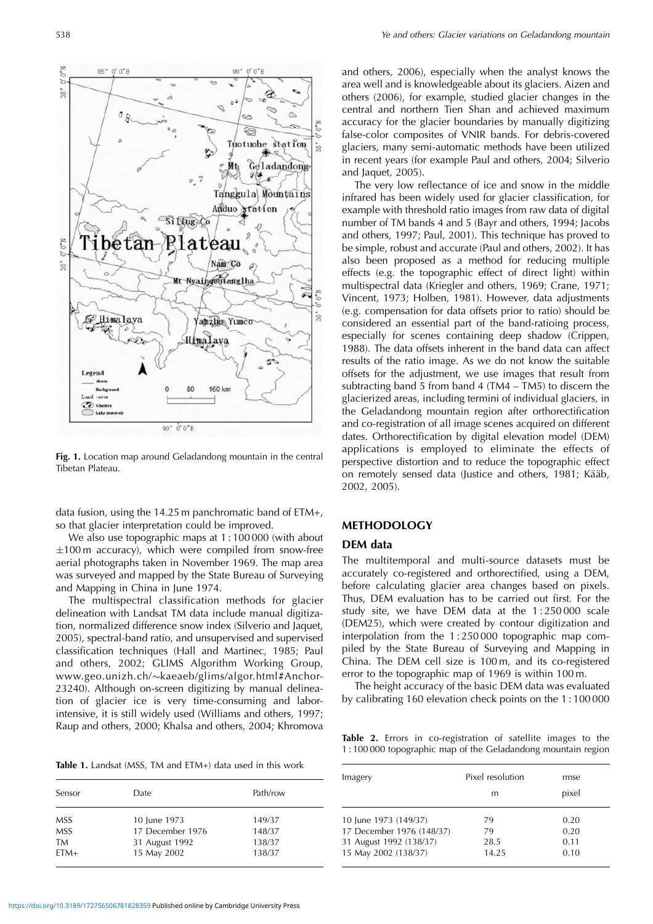

**Fig. 1.** Location map around Geladandong mountain in the central Tibetan Plateau.

data fusion, using the 14.25 m panchromatic band of ETM+, so that glacier interpretation could be improved.

We also use topographic maps at 1 : 100 000 (with about  $\pm 100$  m accuracy), which were compiled from snow-free aerial photographs taken in November 1969. The map area was surveyed and mapped by the State Bureau of Surveying and Mapping in China in June 1974.

The multispectral classification methods for glacier delineation with Landsat TM data include manual digitization, normalized difference snow index (Silverio and Jaquet, 2005), spectral-band ratio, and unsupervised and supervised classification techniques (Hall and Martinec, 1985; Paul and others, 2002; GLIMS Algorithm Working Group, www.geo.unizh.ch/-kaeaeb/glims/algor.html#Anchor-23240). Although on-screen digitizing by manual delineation of glacier ice is very time-consuming and laborintensive, it is still widely used (Williams and others, 1997; Raup and others, 2000; Khalsa and others, 2004; Khromova

**Table 1.** Landsat (MSS, TM and ETM+) data used in this work

| Sensor                         | Date.                                              | Path/row                   |  |
|--------------------------------|----------------------------------------------------|----------------------------|--|
| <b>MSS</b><br><b>MSS</b><br>TM | 10 June 1973<br>17 December 1976<br>31 August 1992 | 149/37<br>148/37<br>138/37 |  |
| $FTM+$                         | 15 May 2002                                        | 138/37                     |  |

and others, 2006), especially when the analyst knows the area well and is knowledgeable about its glaciers. Aizen and others (2006), for example, studied glacier changes in the central and northern Tien Shan and achieved maximum accuracy for the glacier boundaries by manually digitizing false-color composites of VNIR bands. For debris-covered glaciers, many semi-automatic methods have been utilized in recent years (for example Paul and others, 2004; Silverio and Jaquet, 2005).

The very low reflectance of ice and snow in the middle infrared has been widely used for glacier classification, for example with threshold ratio images from raw data of digital number of TM bands 4 and 5 (Bayr and others, 1994; Jacobs and others, 1997; Paul, 2001). This technique has proved to be simple, robust and accurate (Paul and others, 2002). It has also been proposed as a method for reducing multiple effects (e.g. the topographic effect of direct light) within multispectral data (Kriegler and others, 1969; Crane, 1971; Vincent, 1973; Holben, 1981). However, data adjustments (e.g. compensation for data offsets prior to ratio) should be considered an essential part of the band-ratioing process, especially for scenes containing deep shadow (Crippen, 1988). The data offsets inherent in the band data can affect results of the ratio image. As we do not know the suitable offsets for the adjustment, we use images that result from subtracting band 5 from band 4 (TM4 – TM5) to discern the glacierized areas, including termini of individual glaciers, in the Geladandong mountain region after orthorectification and co-registration of all image scenes acquired on different dates. Orthorectification by digital elevation model (DEM) applications is employed to eliminate the effects of perspective distortion and to reduce the topographic effect on remotely sensed data (Justice and others, 1981; Kääb, 2002, 2005).

## **METHODOLOGY**

#### **DEM data**

The multitemporal and multi-source datasets must be accurately co-registered and orthorectified, using a DEM, before calculating glacier area changes based on pixels. Thus, DEM evaluation has to be carried out first. For the study site, we have DEM data at the 1 : 250 000 scale (DEM25), which were created by contour digitization and interpolation from the 1 : 250 000 topographic map compiled by the State Bureau of Surveying and Mapping in China. The DEM cell size is 100 m, and its co-registered error to the topographic map of 1969 is within 100 m.

The height accuracy of the basic DEM data was evaluated by calibrating 160 elevation check points on the 1 : 100 000

**Table 2.** Errors in co-registration of satellite images to the 1 : 100 000 topographic map of the Geladandong mountain region

| Imagery                   | Pixel resolution<br>m | rmse<br>pixel |
|---------------------------|-----------------------|---------------|
| 10 June 1973 (149/37)     | 79                    | 0.20          |
| 17 December 1976 (148/37) | 79                    | 0.20          |
| 31 August 1992 (138/37)   | 28.5                  | 0.11          |
| 15 May 2002 (138/37)      | 14.25                 | 0.10          |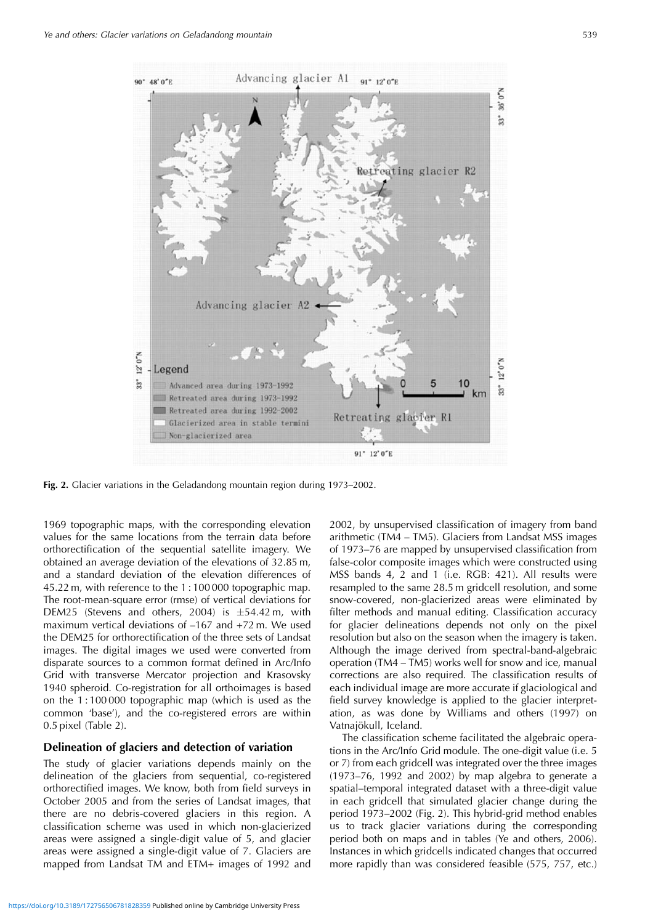

**Fig. 2.** Glacier variations in the Geladandong mountain region during 1973–2002.

1969 topographic maps, with the corresponding elevation values for the same locations from the terrain data before orthorectification of the sequential satellite imagery. We obtained an average deviation of the elevations of 32.85 m, and a standard deviation of the elevation differences of 45.22 m, with reference to the 1 : 100 000 topographic map. The root-mean-square error (rmse) of vertical deviations for DEM25 (Stevens and others, 2004) is  $\pm$ 54.42 m, with maximum vertical deviations of –167 and +72 m. We used the DEM25 for orthorectification of the three sets of Landsat images. The digital images we used were converted from disparate sources to a common format defined in Arc/Info Grid with transverse Mercator projection and Krasovsky 1940 spheroid. Co-registration for all orthoimages is based on the 1 : 100 000 topographic map (which is used as the common 'base'), and the co-registered errors are within 0.5 pixel (Table 2).

## **Delineation of glaciers and detection of variation**

The study of glacier variations depends mainly on the delineation of the glaciers from sequential, co-registered orthorectified images. We know, both from field surveys in October 2005 and from the series of Landsat images, that there are no debris-covered glaciers in this region. A classification scheme was used in which non-glacierized areas were assigned a single-digit value of 5, and glacier areas were assigned a single-digit value of 7. Glaciers are mapped from Landsat TM and ETM+ images of 1992 and

2002, by unsupervised classification of imagery from band arithmetic (TM4 – TM5). Glaciers from Landsat MSS images of 1973–76 are mapped by unsupervised classification from false-color composite images which were constructed using MSS bands 4, 2 and 1 (i.e. RGB: 421). All results were resampled to the same 28.5 m gridcell resolution, and some snow-covered, non-glacierized areas were eliminated by filter methods and manual editing. Classification accuracy for glacier delineations depends not only on the pixel resolution but also on the season when the imagery is taken. Although the image derived from spectral-band-algebraic operation (TM4 – TM5) works well for snow and ice, manual corrections are also required. The classification results of each individual image are more accurate if glaciological and field survey knowledge is applied to the glacier interpretation, as was done by Williams and others (1997) on Vatnajökull, Iceland.

The classification scheme facilitated the algebraic operations in the Arc/Info Grid module. The one-digit value (i.e. 5 or 7) from each gridcell was integrated over the three images (1973–76, 1992 and 2002) by map algebra to generate a spatial–temporal integrated dataset with a three-digit value in each gridcell that simulated glacier change during the period 1973–2002 (Fig. 2). This hybrid-grid method enables us to track glacier variations during the corresponding period both on maps and in tables (Ye and others, 2006). Instances in which gridcells indicated changes that occurred more rapidly than was considered feasible (575, 757, etc.)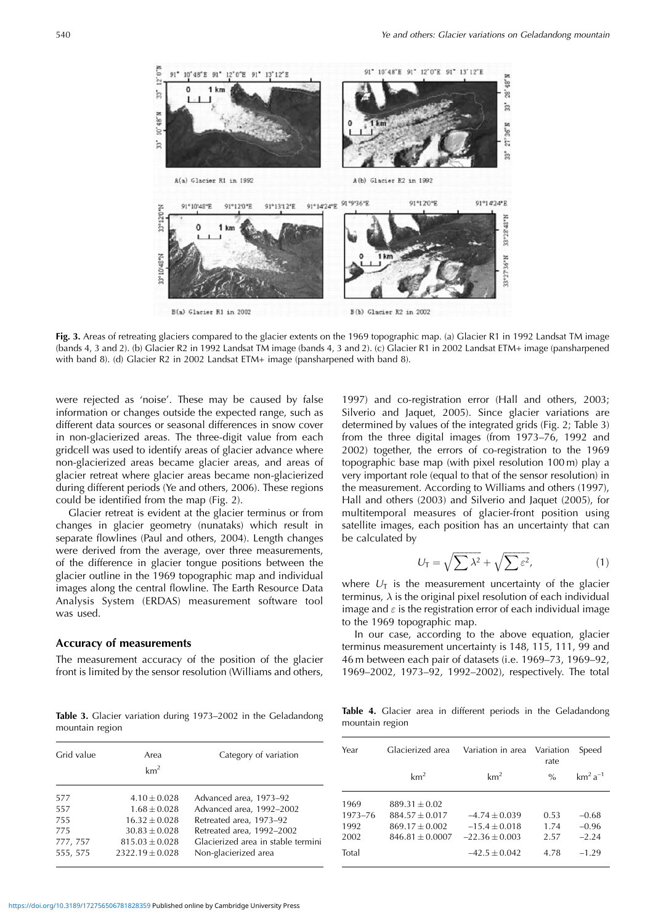

**Fig. 3.** Areas of retreating glaciers compared to the glacier extents on the 1969 topographic map. (a) Glacier R1 in 1992 Landsat TM image (bands 4, 3 and 2). (b) Glacier R2 in 1992 Landsat TM image (bands 4, 3 and 2). (c) Glacier R1 in 2002 Landsat ETM+ image (pansharpened with band 8). (d) Glacier R2 in 2002 Landsat ETM+ image (pansharpened with band 8).

were rejected as 'noise'. These may be caused by false information or changes outside the expected range, such as different data sources or seasonal differences in snow cover in non-glacierized areas. The three-digit value from each gridcell was used to identify areas of glacier advance where non-glacierized areas became glacier areas, and areas of glacier retreat where glacier areas became non-glacierized during different periods (Ye and others, 2006). These regions could be identified from the map (Fig. 2).

Glacier retreat is evident at the glacier terminus or from changes in glacier geometry (nunataks) which result in separate flowlines (Paul and others, 2004). Length changes were derived from the average, over three measurements, of the difference in glacier tongue positions between the glacier outline in the 1969 topographic map and individual images along the central flowline. The Earth Resource Data Analysis System (ERDAS) measurement software tool was used.

#### **Accuracy of measurements**

The measurement accuracy of the position of the glacier front is limited by the sensor resolution (Williams and others,

**Table 3.** Glacier variation during 1973–2002 in the Geladandong mountain region

| Grid value | Area<br>km <sup>2</sup> | Category of variation              |
|------------|-------------------------|------------------------------------|
| 577        | $4.10 + 0.028$          | Advanced area, 1973-92             |
| 557        | $1.68 + 0.028$          | Advanced area, 1992-2002           |
| 755        | $16.32 + 0.028$         | Retreated area, 1973-92            |
| 775        | $30.83 + 0.028$         | Retreated area, 1992-2002          |
| 777, 757   | $815.03 + 0.028$        | Glacierized area in stable termini |
| 555, 575   | $2322.19 + 0.028$       | Non-glacierized area               |

1997) and co-registration error (Hall and others, 2003; Silverio and Jaquet, 2005). Since glacier variations are determined by values of the integrated grids (Fig. 2; Table 3) from the three digital images (from 1973–76, 1992 and 2002) together, the errors of co-registration to the 1969 topographic base map (with pixel resolution 100 m) play a very important role (equal to that of the sensor resolution) in the measurement. According to Williams and others (1997), Hall and others (2003) and Silverio and Jaquet (2005), for multitemporal measures of glacier-front position using satellite images, each position has an uncertainty that can be calculated by

$$
U_{\mathsf{T}} = \sqrt{\sum \lambda^2} + \sqrt{\sum \varepsilon^2},\tag{1}
$$

where  $U_T$  is the measurement uncertainty of the glacier terminus,  $\lambda$  is the original pixel resolution of each individual image and  $\varepsilon$  is the registration error of each individual image to the 1969 topographic map.

In our case, according to the above equation, glacier terminus measurement uncertainty is 148, 115, 111, 99 and 46 m between each pair of datasets (i.e. 1969–73, 1969–92, 1969–2002, 1973–92, 1992–2002), respectively. The total

**Table 4.** Glacier area in different periods in the Geladandong mountain region

| Year                            | Glacierized area                                                             | Variation in area                                      | Variation<br>rate    | Speed                         |
|---------------------------------|------------------------------------------------------------------------------|--------------------------------------------------------|----------------------|-------------------------------|
|                                 | km <sup>2</sup>                                                              | km <sup>2</sup>                                        | $\%$                 | $km^2a^{-1}$                  |
| 1969<br>1973-76<br>1992<br>2002 | $889.31 + 0.02$<br>$884.57 + 0.017$<br>$869.17 + 0.002$<br>$846.81 + 0.0007$ | $-4.74 + 0.039$<br>$-15.4 + 0.018$<br>$-22.36 + 0.003$ | 0.53<br>1.74<br>2.57 | $-0.68$<br>$-0.96$<br>$-2.24$ |
| Total                           |                                                                              | $-42.5 + 0.042$                                        | 4.78                 | $-1.29$                       |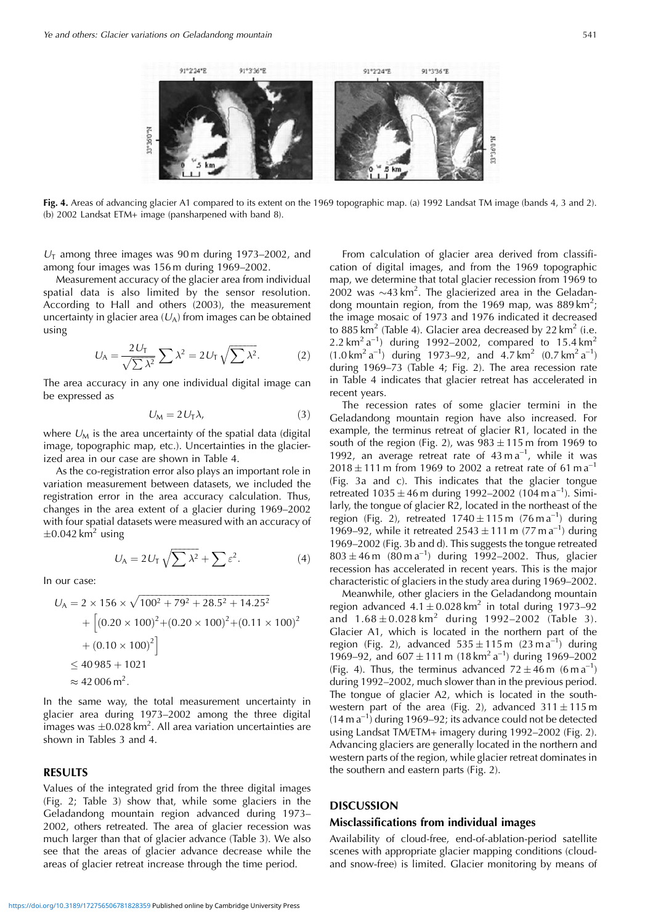

**Fig. 4.** Areas of advancing glacier A1 compared to its extent on the 1969 topographic map. (a) 1992 Landsat TM image (bands 4, 3 and 2). (b) 2002 Landsat ETM+ image (pansharpened with band 8).

 $U_T$  among three images was 90 m during 1973–2002, and among four images was 156 m during 1969–2002.

Measurement accuracy of the glacier area from individual spatial data is also limited by the sensor resolution. According to Hall and others (2003), the measurement uncertainty in glacier area  $(U_A)$  from images can be obtained using

$$
U_A = \frac{2U_T}{\sqrt{\sum \lambda^2}} \sum \lambda^2 = 2U_T \sqrt{\sum \lambda^2}.
$$
 (2)

The area accuracy in any one individual digital image can be expressed as

$$
U_M = 2U_T\lambda,\tag{3}
$$

where  $U_M$  is the area uncertainty of the spatial data (digital image, topographic map, etc.). Uncertainties in the glacierized area in our case are shown in Table 4.

As the co-registration error also plays an important role in variation measurement between datasets, we included the registration error in the area accuracy calculation. Thus, changes in the area extent of a glacier during 1969–2002 with four spatial datasets were measured with an accuracy of  $\pm$ 0.042 km<sup>2</sup> using

$$
U_A = 2U_T \sqrt{\sum \lambda^2} + \sum \varepsilon^2.
$$
 (4)

In our case:

$$
U_A = 2 \times 156 \times \sqrt{100^2 + 79^2 + 28.5^2 + 14.25^2}
$$
  
+ 
$$
\left[ (0.20 \times 100)^2 + (0.20 \times 100)^2 + (0.11 \times 100)^2
$$
  
+ 
$$
(0.10 \times 100)^2
$$
  

$$
\le 40985 + 1021
$$
  

$$
\approx 42006 \text{ m}^2.
$$

In the same way, the total measurement uncertainty in glacier area during 1973–2002 among the three digital images was  $\pm 0.028 \text{ km}^2$ . All area variation uncertainties are shown in Tables 3 and 4.

#### **RESULTS**

Values of the integrated grid from the three digital images (Fig. 2; Table 3) show that, while some glaciers in the Geladandong mountain region advanced during 1973– 2002, others retreated. The area of glacier recession was much larger than that of glacier advance (Table 3). We also see that the areas of glacier advance decrease while the areas of glacier retreat increase through the time period.

From calculation of glacier area derived from classification of digital images, and from the 1969 topographic map, we determine that total glacier recession from 1969 to 2002 was  $\sim$ 43 km<sup>2</sup>. The glacierized area in the Geladandong mountain region, from the 1969 map, was  $889 \text{ km}^2$ ; the image mosaic of 1973 and 1976 indicated it decreased to 885 km<sup>2</sup> (Table 4). Glacier area decreased by 22 km<sup>2</sup> (i.e. 2.2 km<sup>2</sup> a<sup>-1</sup>) during 1992–2002, compared to 15.4 km<sup>2</sup>  $(1.0 \text{ km}^2 \text{ a}^{-1})$  during 1973–92, and  $4.7 \text{ km}^2$   $(0.7 \text{ km}^2 \text{ a}^{-1})$ during 1969–73 (Table 4; Fig. 2). The area recession rate in Table 4 indicates that glacier retreat has accelerated in recent years.

The recession rates of some glacier termini in the Geladandong mountain region have also increased. For example, the terminus retreat of glacier R1, located in the south of the region (Fig. 2), was  $983 \pm 115$  m from 1969 to 1992, an average retreat rate of  $43 \text{ m a}^{-1}$ , while it was  $2018 \pm 111$  m from 1969 to 2002 a retreat rate of 61 m a<sup>-1</sup> (Fig. 3a and c). This indicates that the glacier tongue retreated  $1035 \pm 46$  m during 1992–2002 (104 m a<sup>-1</sup>). Similarly, the tongue of glacier R2, located in the northeast of the region (Fig. 2), retreated  $1740 \pm 115$  m (76 m a<sup>-1</sup>) during 1969–92, while it retreated  $2543 \pm 111$  m (77 m a<sup>-1</sup>) during 1969–2002 (Fig. 3b and d). This suggests the tongue retreated  $803 \pm 46$  m  $(80 \text{ m a}^{-1})$  during 1992–2002. Thus, glacier recession has accelerated in recent years. This is the major characteristic of glaciers in the study area during 1969–2002.

Meanwhile, other glaciers in the Geladandong mountain region advanced  $4.1 \pm 0.028 \text{ km}^2$  in total during 1973–92 and  $1.68 \pm 0.028$  km<sup>2</sup> during 1992–2002 (Table 3). Glacier A1, which is located in the northern part of the region (Fig. 2), advanced  $535 \pm 115$  m (23 m a<sup>-1</sup>) during 1969–92, and  $607 \pm 111$  m  $(18 \text{ km}^2 \text{ a}^{-1})$  during 1969–2002 (Fig. 4). Thus, the terminus advanced  $72 \pm 46$  m (6 m a<sup>-1</sup>) during 1992–2002, much slower than in the previous period. The tongue of glacier A2, which is located in the southwestern part of the area (Fig. 2), advanced  $311 \pm 115$  m  $(14 \text{ m a}^{-1})$  during 1969–92; its advance could not be detected using Landsat TM/ETM+ imagery during 1992–2002 (Fig. 2). Advancing glaciers are generally located in the northern and western parts of the region, while glacier retreat dominates in the southern and eastern parts (Fig. 2).

#### **DISCUSSION**

## **Misclassifications from individual images**

Availability of cloud-free, end-of-ablation-period satellite scenes with appropriate glacier mapping conditions (cloudand snow-free) is limited. Glacier monitoring by means of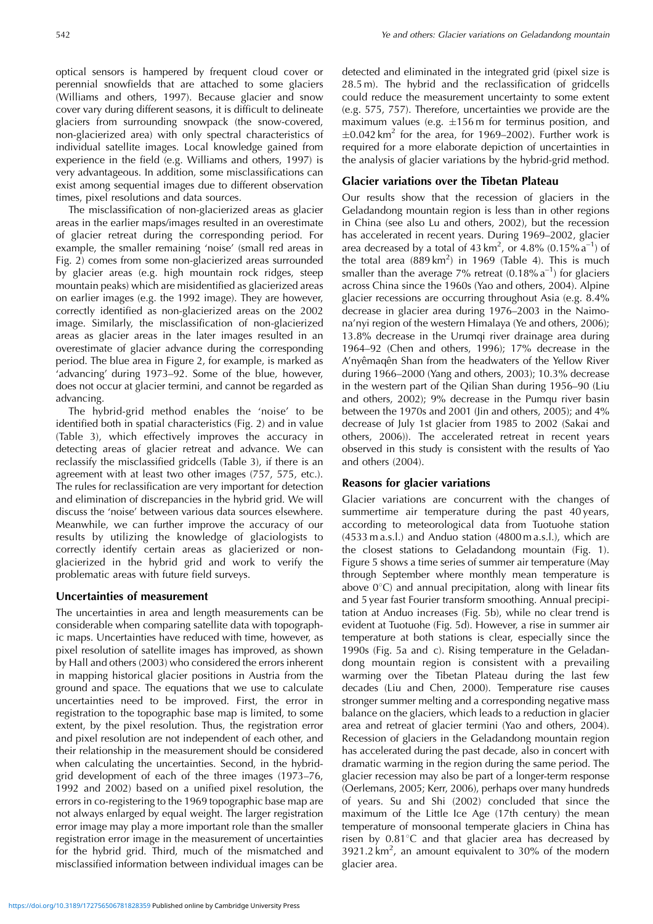optical sensors is hampered by frequent cloud cover or perennial snowfields that are attached to some glaciers (Williams and others, 1997). Because glacier and snow cover vary during different seasons, it is difficult to delineate glaciers from surrounding snowpack (the snow-covered, non-glacierized area) with only spectral characteristics of individual satellite images. Local knowledge gained from experience in the field (e.g. Williams and others, 1997) is very advantageous. In addition, some misclassifications can exist among sequential images due to different observation times, pixel resolutions and data sources.

The misclassification of non-glacierized areas as glacier areas in the earlier maps/images resulted in an overestimate of glacier retreat during the corresponding period. For example, the smaller remaining 'noise' (small red areas in Fig. 2) comes from some non-glacierized areas surrounded by glacier areas (e.g. high mountain rock ridges, steep mountain peaks) which are misidentified as glacierized areas on earlier images (e.g. the 1992 image). They are however, correctly identified as non-glacierized areas on the 2002 image. Similarly, the misclassification of non-glacierized areas as glacier areas in the later images resulted in an overestimate of glacier advance during the corresponding period. The blue area in Figure 2, for example, is marked as 'advancing' during 1973–92. Some of the blue, however, does not occur at glacier termini, and cannot be regarded as advancing.

The hybrid-grid method enables the 'noise' to be identified both in spatial characteristics (Fig. 2) and in value (Table 3), which effectively improves the accuracy in detecting areas of glacier retreat and advance. We can reclassify the misclassified gridcells (Table 3), if there is an agreement with at least two other images (757, 575, etc.). The rules for reclassification are very important for detection and elimination of discrepancies in the hybrid grid. We will discuss the 'noise' between various data sources elsewhere. Meanwhile, we can further improve the accuracy of our results by utilizing the knowledge of glaciologists to correctly identify certain areas as glacierized or nonglacierized in the hybrid grid and work to verify the problematic areas with future field surveys.

## **Uncertainties of measurement**

The uncertainties in area and length measurements can be considerable when comparing satellite data with topographic maps. Uncertainties have reduced with time, however, as pixel resolution of satellite images has improved, as shown by Hall and others (2003) who considered the errors inherent in mapping historical glacier positions in Austria from the ground and space. The equations that we use to calculate uncertainties need to be improved. First, the error in registration to the topographic base map is limited, to some extent, by the pixel resolution. Thus, the registration error and pixel resolution are not independent of each other, and their relationship in the measurement should be considered when calculating the uncertainties. Second, in the hybridgrid development of each of the three images (1973–76, 1992 and 2002) based on a unified pixel resolution, the errors in co-registering to the 1969 topographic base map are not always enlarged by equal weight. The larger registration error image may play a more important role than the smaller registration error image in the measurement of uncertainties for the hybrid grid. Third, much of the mismatched and misclassified information between individual images can be detected and eliminated in the integrated grid (pixel size is 28.5 m). The hybrid and the reclassification of gridcells could reduce the measurement uncertainty to some extent (e.g. 575, 757). Therefore, uncertainties we provide are the maximum values (e.g.  $\pm 156$  m for terminus position, and  $\pm$ 0.042 km<sup>2</sup> for the area, for 1969–2002). Further work is required for a more elaborate depiction of uncertainties in the analysis of glacier variations by the hybrid-grid method.

# **Glacier variations over the Tibetan Plateau**

Our results show that the recession of glaciers in the Geladandong mountain region is less than in other regions in China (see also Lu and others, 2002), but the recession has accelerated in recent years. During 1969–2002, glacier area decreased by a total of 43 km<sup>2</sup>, or 4.8% (0.15%  $a^{-1}$ ) of the total area  $(889 \text{ km}^2)$  in 1969 (Table 4). This is much smaller than the average 7% retreat  $(0.18\% \text{ a}^{-1})$  for glaciers across China since the 1960s (Yao and others, 2004). Alpine glacier recessions are occurring throughout Asia (e.g. 8.4% decrease in glacier area during 1976–2003 in the Naimona'nyi region of the western Himalaya (Ye and others, 2006); 13.8% decrease in the Urumqi river drainage area during 1964–92 (Chen and others, 1996); 17% decrease in the A'nyêmaqên Shan from the headwaters of the Yellow River during 1966–2000 (Yang and others, 2003); 10.3% decrease in the western part of the Qilian Shan during 1956–90 (Liu and others, 2002); 9% decrease in the Pumqu river basin between the 1970s and 2001 (Jin and others, 2005); and 4% decrease of July 1st glacier from 1985 to 2002 (Sakai and others, 2006)). The accelerated retreat in recent years observed in this study is consistent with the results of Yao and others (2004).

## **Reasons for glacier variations**

Glacier variations are concurrent with the changes of summertime air temperature during the past 40 years, according to meteorological data from Tuotuohe station (4533 m a.s.l.) and Anduo station (4800 m a.s.l.), which are the closest stations to Geladandong mountain (Fig. 1). Figure 5 shows a time series of summer air temperature (May through September where monthly mean temperature is above  $0^{\circ}$ C) and annual precipitation, along with linear fits and 5 year fast Fourier transform smoothing. Annual precipitation at Anduo increases (Fig. 5b), while no clear trend is evident at Tuotuohe (Fig. 5d). However, a rise in summer air temperature at both stations is clear, especially since the 1990s (Fig. 5a and c). Rising temperature in the Geladandong mountain region is consistent with a prevailing warming over the Tibetan Plateau during the last few decades (Liu and Chen, 2000). Temperature rise causes stronger summer melting and a corresponding negative mass balance on the glaciers, which leads to a reduction in glacier area and retreat of glacier termini (Yao and others, 2004). Recession of glaciers in the Geladandong mountain region has accelerated during the past decade, also in concert with dramatic warming in the region during the same period. The glacier recession may also be part of a longer-term response (Oerlemans, 2005; Kerr, 2006), perhaps over many hundreds of years. Su and Shi (2002) concluded that since the maximum of the Little Ice Age (17th century) the mean temperature of monsoonal temperate glaciers in China has risen by  $0.81^{\circ}$ C and that glacier area has decreased by  $3921.2 \text{ km}^2$ , an amount equivalent to 30% of the modern glacier area.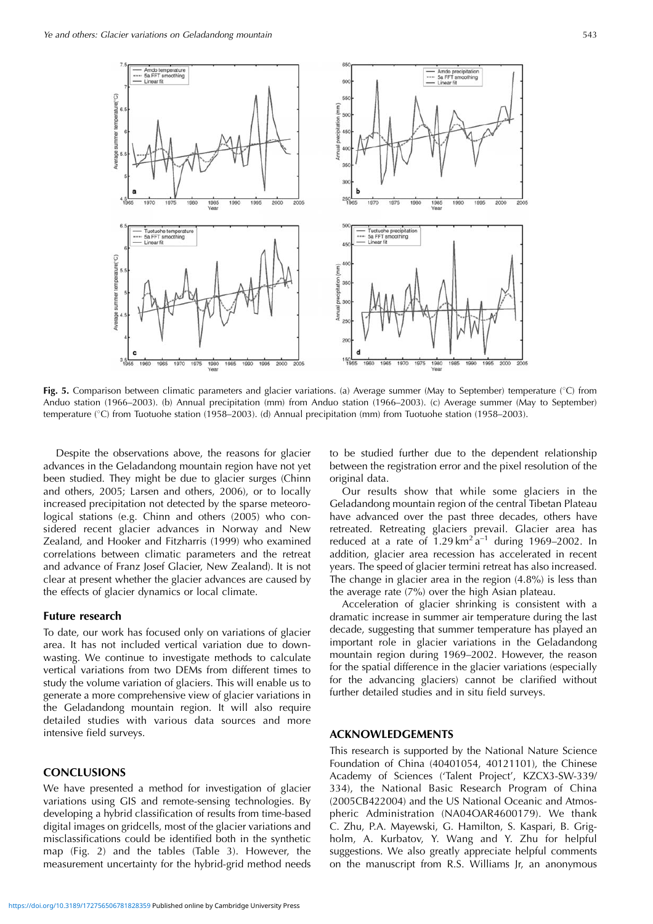

Fig. 5. Comparison between climatic parameters and glacier variations. (a) Average summer (May to September) temperature (°C) from Anduo station (1966–2003). (b) Annual precipitation (mm) from Anduo station (1966–2003). (c) Average summer (May to September) temperature (°C) from Tuotuohe station (1958–2003). (d) Annual precipitation (mm) from Tuotuohe station (1958–2003).

Despite the observations above, the reasons for glacier advances in the Geladandong mountain region have not yet been studied. They might be due to glacier surges (Chinn and others, 2005; Larsen and others, 2006), or to locally increased precipitation not detected by the sparse meteorological stations (e.g. Chinn and others (2005) who considered recent glacier advances in Norway and New Zealand, and Hooker and Fitzharris (1999) who examined correlations between climatic parameters and the retreat and advance of Franz Josef Glacier, New Zealand). It is not clear at present whether the glacier advances are caused by the effects of glacier dynamics or local climate.

## **Future research**

To date, our work has focused only on variations of glacier area. It has not included vertical variation due to downwasting. We continue to investigate methods to calculate vertical variations from two DEMs from different times to study the volume variation of glaciers. This will enable us to generate a more comprehensive view of glacier variations in the Geladandong mountain region. It will also require detailed studies with various data sources and more intensive field surveys.

## **CONCLUSIONS**

We have presented a method for investigation of glacier variations using GIS and remote-sensing technologies. By developing a hybrid classification of results from time-based digital images on gridcells, most of the glacier variations and misclassifications could be identified both in the synthetic map (Fig. 2) and the tables (Table 3). However, the measurement uncertainty for the hybrid-grid method needs

to be studied further due to the dependent relationship between the registration error and the pixel resolution of the original data.

Our results show that while some glaciers in the Geladandong mountain region of the central Tibetan Plateau have advanced over the past three decades, others have retreated. Retreating glaciers prevail. Glacier area has reduced at a rate of  $1.29 \text{ km}^2 \text{ a}^{-1}$  during 1969–2002. In addition, glacier area recession has accelerated in recent years. The speed of glacier termini retreat has also increased. The change in glacier area in the region (4.8%) is less than the average rate (7%) over the high Asian plateau.

Acceleration of glacier shrinking is consistent with a dramatic increase in summer air temperature during the last decade, suggesting that summer temperature has played an important role in glacier variations in the Geladandong mountain region during 1969–2002. However, the reason for the spatial difference in the glacier variations (especially for the advancing glaciers) cannot be clarified without further detailed studies and in situ field surveys.

#### **ACKNOWLEDGEMENTS**

This research is supported by the National Nature Science Foundation of China (40401054, 40121101), the Chinese Academy of Sciences ('Talent Project', KZCX3-SW-339/ 334), the National Basic Research Program of China (2005CB422004) and the US National Oceanic and Atmospheric Administration (NA04OAR4600179). We thank C. Zhu, P.A. Mayewski, G. Hamilton, S. Kaspari, B. Grigholm, A. Kurbatov, Y. Wang and Y. Zhu for helpful suggestions. We also greatly appreciate helpful comments on the manuscript from R.S. Williams Jr, an anonymous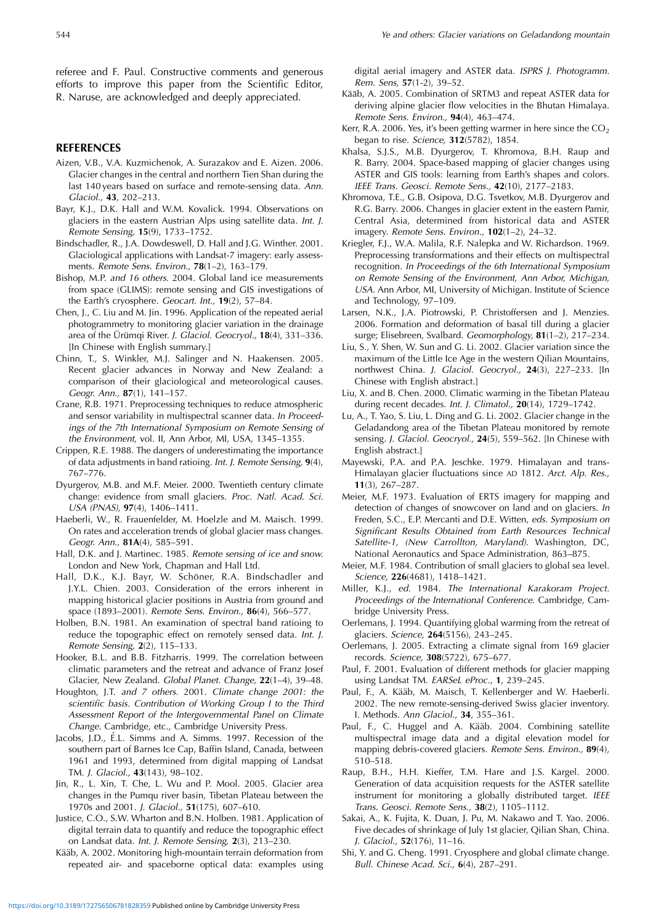referee and F. Paul. Constructive comments and generous efforts to improve this paper from the Scientific Editor, R. Naruse, are acknowledged and deeply appreciated.

## **REFERENCES**

- Aizen, V.B., V.A. Kuzmichenok, A. Surazakov and E. Aizen. 2006. Glacier changes in the central and northern Tien Shan during the last 140 years based on surface and remote-sensing data. Ann. Glaciol., **43**, 202–213.
- Bayr, K.J., D.K. Hall and W.M. Kovalick. 1994. Observations on glaciers in the eastern Austrian Alps using satellite data. Int. J. Remote Sensing, **15**(9), 1733–1752.
- Bindschadler, R., J.A. Dowdeswell, D. Hall and J.G. Winther. 2001. Glaciological applications with Landsat-7 imagery: early assessments. Remote Sens. Environ., **78**(1–2), 163–179.
- Bishop, M.P. and 16 others. 2004. Global land ice measurements from space (GLIMS): remote sensing and GIS investigations of the Earth's cryosphere. Geocart. Int., **19**(2), 57–84.
- Chen, J., C. Liu and M. Jin. 1996. Application of the repeated aerial photogrammetry to monitoring glacier variation in the drainage area of the Ürümqi River. J. Glaciol. Geocryol., 18(4), 331-336. [In Chinese with English summary.]
- Chinn, T., S. Winkler, M.J. Salinger and N. Haakensen. 2005. Recent glacier advances in Norway and New Zealand: a comparison of their glaciological and meteorological causes. Geogr. Ann., **87**(1), 141–157.
- Crane, R.B. 1971. Preprocessing techniques to reduce atmospheric and sensor variability in multispectral scanner data. In Proceedings of the 7th International Symposium on Remote Sensing of the Environment, vol. II, Ann Arbor, MI, USA, 1345–1355.
- Crippen, R.E. 1988. The dangers of underestimating the importance of data adjustments in band ratioing. Int. J. Remote Sensing, **9**(4), 767–776.
- Dyurgerov, M.B. and M.F. Meier. 2000. Twentieth century climate change: evidence from small glaciers. Proc. Natl. Acad. Sci. USA (PNAS), **97**(4), 1406–1411.
- Haeberli, W., R. Frauenfelder, M. Hoelzle and M. Maisch. 1999. On rates and acceleration trends of global glacier mass changes. Geogr. Ann., **81A**(4), 585–591.
- Hall, D.K. and J. Martinec. 1985. Remote sensing of ice and snow. London and New York, Chapman and Hall Ltd.
- Hall, D.K., K.J. Bayr, W. Schöner, R.A. Bindschadler and J.Y.L. Chien. 2003. Consideration of the errors inherent in mapping historical glacier positions in Austria from ground and space (1893–2001). Remote Sens. Environ., **86**(4), 566–577.
- Holben, B.N. 1981. An examination of spectral band ratioing to reduce the topographic effect on remotely sensed data. Int. J. Remote Sensing, **2**(2), 115–133.
- Hooker, B.L. and B.B. Fitzharris. 1999. The correlation between climatic parameters and the retreat and advance of Franz Josef Glacier, New Zealand. Global Planet. Change, **22**(1–4), 39–48.
- Houghton, J.T. and 7 others. 2001. Climate change 2001: the scientific basis. Contribution of Working Group I to the Third Assessment Report of the Intergovernmental Panel on Climate Change. Cambridge, etc., Cambridge University Press.
- Jacobs, J.D., É.L. Simms and A. Simms. 1997. Recession of the southern part of Barnes Ice Cap, Baffin Island, Canada, between 1961 and 1993, determined from digital mapping of Landsat TM. J. Glaciol., **43**(143), 98–102.
- Jin, R., L. Xin, T. Che, L. Wu and P. Mool. 2005. Glacier area changes in the Pumqu river basin, Tibetan Plateau between the 1970s and 2001. J. Glaciol., **51**(175), 607–610.
- Justice, C.O., S.W. Wharton and B.N. Holben. 1981. Application of digital terrain data to quantify and reduce the topographic effect on Landsat data. Int. J. Remote Sensing, **2**(3), 213–230.
- Kääb, A. 2002. Monitoring high-mountain terrain deformation from repeated air- and spaceborne optical data: examples using

digital aerial imagery and ASTER data. ISPRS J. Photogramm. Rem. Sens, **57**(1-2), 39–52.

- Kääb, A. 2005. Combination of SRTM3 and repeat ASTER data for deriving alpine glacier flow velocities in the Bhutan Himalaya. Remote Sens. Environ., **94**(4), 463–474.
- Kerr, R.A. 2006. Yes, it's been getting warmer in here since the  $CO<sub>2</sub>$ began to rise. Science, **312**(5782), 1854.
- Khalsa, S.J.S., M.B. Dyurgerov, T. Khromova, B.H. Raup and R. Barry. 2004. Space-based mapping of glacier changes using ASTER and GIS tools: learning from Earth's shapes and colors. IEEE Trans. Geosci. Remote Sens., **42**(10), 2177–2183.
- Khromova, T.E., G.B. Osipova, D.G. Tsvetkov, M.B. Dyurgerov and R.G. Barry. 2006. Changes in glacier extent in the eastern Pamir, Central Asia, determined from historical data and ASTER imagery. Remote Sens. Environ., **102**(1–2), 24–32.
- Kriegler, F.J., W.A. Malila, R.F. Nalepka and W. Richardson. 1969. Preprocessing transformations and their effects on multispectral recognition. In Proceedings of the 6th International Symposium on Remote Sensing of the Environment, Ann Arbor, Michigan, USA. Ann Arbor, MI, University of Michigan. Institute of Science and Technology, 97–109.
- Larsen, N.K., J.A. Piotrowski, P. Christoffersen and J. Menzies. 2006. Formation and deformation of basal till during a glacier surge; Elisebreen, Svalbard. Geomorphology, **81**(1–2), 217–234.
- Liu, S., Y. Shen, W. Sun and G. Li. 2002. Glacier variation since the maximum of the Little Ice Age in the western Qilian Mountains, northwest China. J. Glaciol. Geocryol., **24**(3), 227–233. [In Chinese with English abstract.]
- Liu, X. and B. Chen. 2000. Climatic warming in the Tibetan Plateau during recent decades. Int. J. Climatol., **20**(14), 1729–1742.
- Lu, A., T. Yao, S. Liu, L. Ding and G. Li. 2002. Glacier change in the Geladandong area of the Tibetan Plateau monitored by remote sensing. J. Glaciol. Geocryol., **24**(5), 559–562. [In Chinese with English abstract.]
- Mayewski, P.A. and P.A. Jeschke. 1979. Himalayan and trans-Himalayan glacier fluctuations since AD 1812. Arct. Alp. Res., **11**(3), 267–287.
- Meier, M.F. 1973. Evaluation of ERTS imagery for mapping and detection of changes of snowcover on land and on glaciers. In Freden, S.C., E.P. Mercanti and D.E. Witten, eds. Symposium on Significant Results Obtained from Earth Resources Technical Satellite-1, (New Carrollton, Maryland). Washington, DC, National Aeronautics and Space Administration, 863–875.
- Meier, M.F. 1984. Contribution of small glaciers to global sea level. Science, **226**(4681), 1418–1421.
- Miller, K.J., ed. 1984. The International Karakoram Project. Proceedings of the International Conference. Cambridge, Cambridge University Press.
- Oerlemans, J. 1994. Quantifying global warming from the retreat of glaciers. Science, **264**(5156), 243–245.
- Oerlemans, J. 2005. Extracting a climate signal from 169 glacier records. Science, **308**(5722), 675–677.
- Paul, F. 2001. Evaluation of different methods for glacier mapping using Landsat TM. EARSeL eProc., **1**, 239–245.
- Paul, F., A. Kääb, M. Maisch, T. Kellenberger and W. Haeberli. 2002. The new remote-sensing-derived Swiss glacier inventory. I. Methods. Ann Glaciol., **34**, 355–361.
- Paul, F., C. Huggel and A. Kääb. 2004. Combining satellite multispectral image data and a digital elevation model for mapping debris-covered glaciers. Remote Sens. Environ., **89**(4), 510–518.
- Raup, B.H., H.H. Kieffer, T.M. Hare and J.S. Kargel. 2000. Generation of data acquisition requests for the ASTER satellite instrument for monitoring a globally distributed target. IEEE Trans. Geosci. Remote Sens., **38**(2), 1105–1112.
- Sakai, A., K. Fujita, K. Duan, J. Pu, M. Nakawo and T. Yao. 2006. Five decades of shrinkage of July 1st glacier, Qilian Shan, China. J. Glaciol., **52**(176), 11–16.
- Shi, Y. and G. Cheng. 1991. Cryosphere and global climate change. Bull. Chinese Acad. Sci., **6**(4), 287–291.